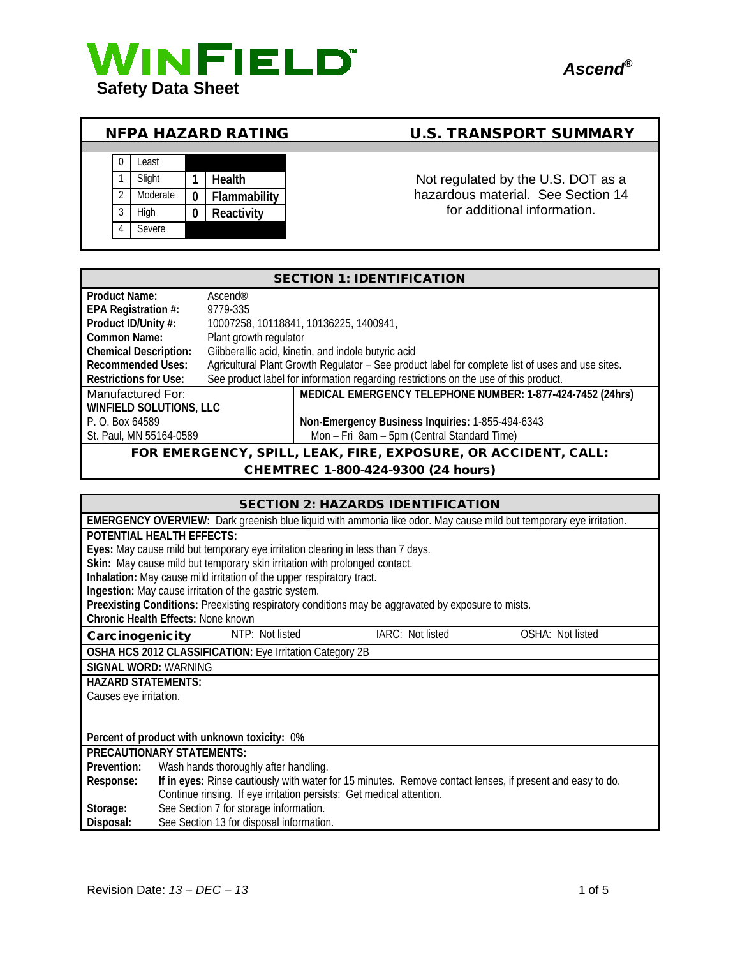



# NFPA HAZARD RATING U.S. TRANSPORT SUMMARY



1 Slight 1 Health **1** Health Not regulated by the U.S. DOT as a hazardous material. See Section 14 for additional information.

| <b>SECTION 1: IDENTIFICATION</b>                               |                                                                                                  |                                                            |  |
|----------------------------------------------------------------|--------------------------------------------------------------------------------------------------|------------------------------------------------------------|--|
| Product Name:                                                  | Ascend@                                                                                          |                                                            |  |
| EPA Registration #:                                            | 9779-335                                                                                         |                                                            |  |
| Product ID/Unity #:                                            | 10007258, 10118841, 10136225, 1400941,                                                           |                                                            |  |
| Common Name:                                                   | Plant growth regulator                                                                           |                                                            |  |
| <b>Chemical Description:</b>                                   | Giibberellic acid, kinetin, and indole butyric acid                                              |                                                            |  |
| <b>Recommended Uses:</b>                                       | Agricultural Plant Growth Regulator - See product label for complete list of uses and use sites. |                                                            |  |
| Restrictions for Use:                                          | See product label for information regarding restrictions on the use of this product.             |                                                            |  |
| Manufactured For:                                              |                                                                                                  | MEDICAL EMERGENCY TELEPHONE NUMBER: 1-877-424-7452 (24hrs) |  |
| <b>WINFIELD SOLUTIONS, LLC</b>                                 |                                                                                                  |                                                            |  |
| P. O. Box 64589                                                | Non-Emergency Business Inquiries: 1-855-494-6343                                                 |                                                            |  |
| St. Paul, MN 55164-0589                                        |                                                                                                  | Mon - Fri 8am - 5pm (Central Standard Time)                |  |
| FOR EMERGENCY, SPILL, LEAK, FIRE, EXPOSURE, OR ACCIDENT, CALL: |                                                                                                  |                                                            |  |

#### CHEMTREC 1-800-424-9300 (24 hours)

| <b>SECTION 2: HAZARDS IDENTIFICATION</b>                                                                               |  |  |  |
|------------------------------------------------------------------------------------------------------------------------|--|--|--|
| EMERGENCY OVERVIEW: Dark greenish blue liquid with ammonia like odor. May cause mild but temporary eye irritation.     |  |  |  |
| <b>POTENTIAL HEALTH EFFECTS:</b>                                                                                       |  |  |  |
| Eyes: May cause mild but temporary eye irritation clearing in less than 7 days.                                        |  |  |  |
| Skin: May cause mild but temporary skin irritation with prolonged contact.                                             |  |  |  |
| Inhalation: May cause mild irritation of the upper respiratory tract.                                                  |  |  |  |
| Ingestion: May cause irritation of the gastric system.                                                                 |  |  |  |
| Preexisting Conditions: Preexisting respiratory conditions may be aggravated by exposure to mists.                     |  |  |  |
| <b>Chronic Health Effects: None known</b>                                                                              |  |  |  |
| NTP: Not listed<br>IARC: Not listed<br>OSHA: Not listed<br>Carcinogenicity                                             |  |  |  |
| OSHA HCS 2012 CLASSIFICATION: Eye Irritation Category 2B                                                               |  |  |  |
| <b>SIGNAL WORD: WARNING</b>                                                                                            |  |  |  |
| <b>HAZARD STATEMENTS:</b>                                                                                              |  |  |  |
| Causes eye irritation.                                                                                                 |  |  |  |
|                                                                                                                        |  |  |  |
|                                                                                                                        |  |  |  |
| Percent of product with unknown toxicity: 0%                                                                           |  |  |  |
| <b>PRECAUTIONARY STATEMENTS:</b>                                                                                       |  |  |  |
| Wash hands thoroughly after handling.<br>Prevention:                                                                   |  |  |  |
| If in eyes: Rinse cautiously with water for 15 minutes. Remove contact lenses, if present and easy to do.<br>Response: |  |  |  |
| Continue rinsing. If eye irritation persists: Get medical attention.                                                   |  |  |  |
| See Section 7 for storage information.<br>Storage:                                                                     |  |  |  |
| See Section 13 for disposal information.<br>Disposal:                                                                  |  |  |  |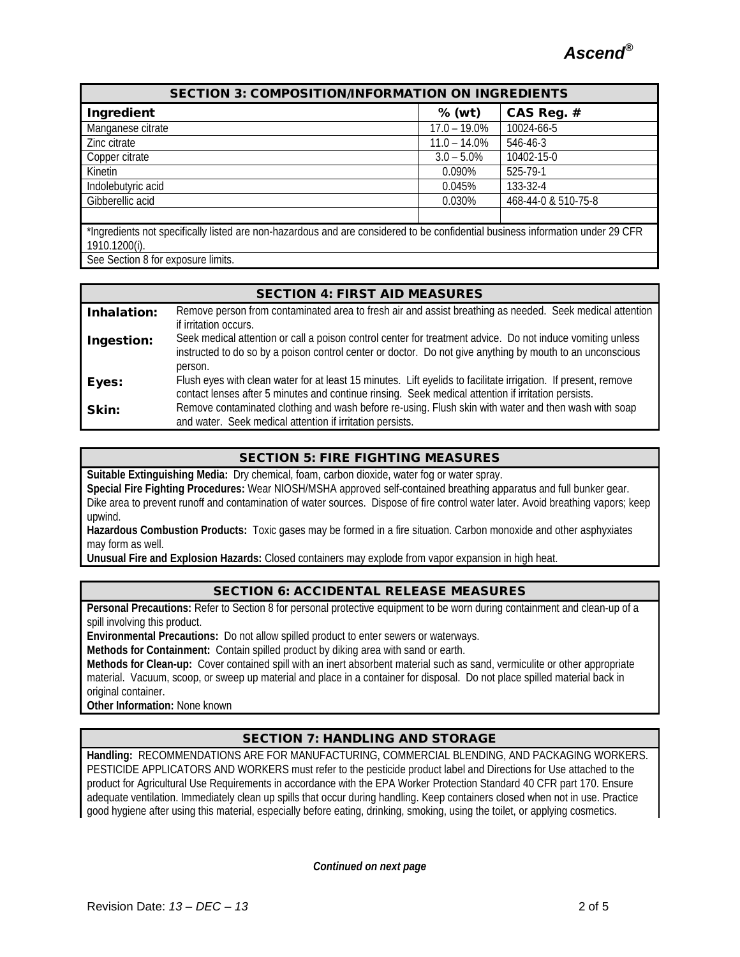| <b>SECTION 3: COMPOSITION/INFORMATION ON INGREDIENTS</b>                                                                       |                 |                     |
|--------------------------------------------------------------------------------------------------------------------------------|-----------------|---------------------|
| Ingredient                                                                                                                     | $%$ (wt)        | CAS Reg. #          |
| Manganese citrate                                                                                                              | $17.0 - 19.0\%$ | 10024-66-5          |
| Zinc citrate                                                                                                                   | $11.0 - 14.0\%$ | 546-46-3            |
| Copper citrate                                                                                                                 | $3.0 - 5.0\%$   | 10402-15-0          |
| Kinetin                                                                                                                        | $0.090\%$       | 525-79-1            |
| Indolebutyric acid                                                                                                             | 0.045%          | 133-32-4            |
| Gibberellic acid                                                                                                               | 0.030%          | 468-44-0 & 510-75-8 |
|                                                                                                                                |                 |                     |
| *Ingredients not specifically listed are non-hazardous and are considered to be confidential business information under 29 CFR |                 |                     |
| 1910.1200(i).                                                                                                                  |                 |                     |

See Section 8 for exposure limits.

#### SECTION 4: FIRST AID MEASURES

| Inhalation: | Remove person from contaminated area to fresh air and assist breathing as needed. Seek medical attention<br>if irritation occurs.                                                                                                  |
|-------------|------------------------------------------------------------------------------------------------------------------------------------------------------------------------------------------------------------------------------------|
| Ingestion:  | Seek medical attention or call a poison control center for treatment advice. Do not induce vomiting unless<br>instructed to do so by a poison control center or doctor. Do not give anything by mouth to an unconscious<br>person. |
| Eyes:       | Flush eyes with clean water for at least 15 minutes. Lift eyelids to facilitate irrigation. If present, remove<br>contact lenses after 5 minutes and continue rinsing. Seek medical attention if irritation persists.              |
| Skin:       | Remove contaminated clothing and wash before re-using. Flush skin with water and then wash with soap<br>and water. Seek medical attention if irritation persists.                                                                  |

## SECTION 5: FIRE FIGHTING MEASURES

**Suitable Extinguishing Media:** Dry chemical, foam, carbon dioxide, water fog or water spray. **Special Fire Fighting Procedures:** Wear NIOSH/MSHA approved self-contained breathing apparatus and full bunker gear. Dike area to prevent runoff and contamination of water sources. Dispose of fire control water later. Avoid breathing vapors; keep upwind.

**Hazardous Combustion Products:** Toxic gases may be formed in a fire situation. Carbon monoxide and other asphyxiates may form as well.

**Unusual Fire and Explosion Hazards:** Closed containers may explode from vapor expansion in high heat.

#### SECTION 6: ACCIDENTAL RELEASE MEASURES

**Personal Precautions:** Refer to Section 8 for personal protective equipment to be worn during containment and clean-up of a spill involving this product.

**Environmental Precautions:** Do not allow spilled product to enter sewers or waterways.

**Methods for Containment:** Contain spilled product by diking area with sand or earth.

**Methods for Clean-up:** Cover contained spill with an inert absorbent material such as sand, vermiculite or other appropriate material. Vacuum, scoop, or sweep up material and place in a container for disposal. Do not place spilled material back in original container.

**Other Information:** None known

## SECTION 7: HANDLING AND STORAGE

**Handling:** RECOMMENDATIONS ARE FOR MANUFACTURING, COMMERCIAL BLENDING, AND PACKAGING WORKERS. PESTICIDE APPLICATORS AND WORKERS must refer to the pesticide product label and Directions for Use attached to the product for Agricultural Use Requirements in accordance with the EPA Worker Protection Standard 40 CFR part 170. Ensure adequate ventilation. Immediately clean up spills that occur during handling. Keep containers closed when not in use. Practice good hygiene after using this material, especially before eating, drinking, smoking, using the toilet, or applying cosmetics.

*Continued on next page*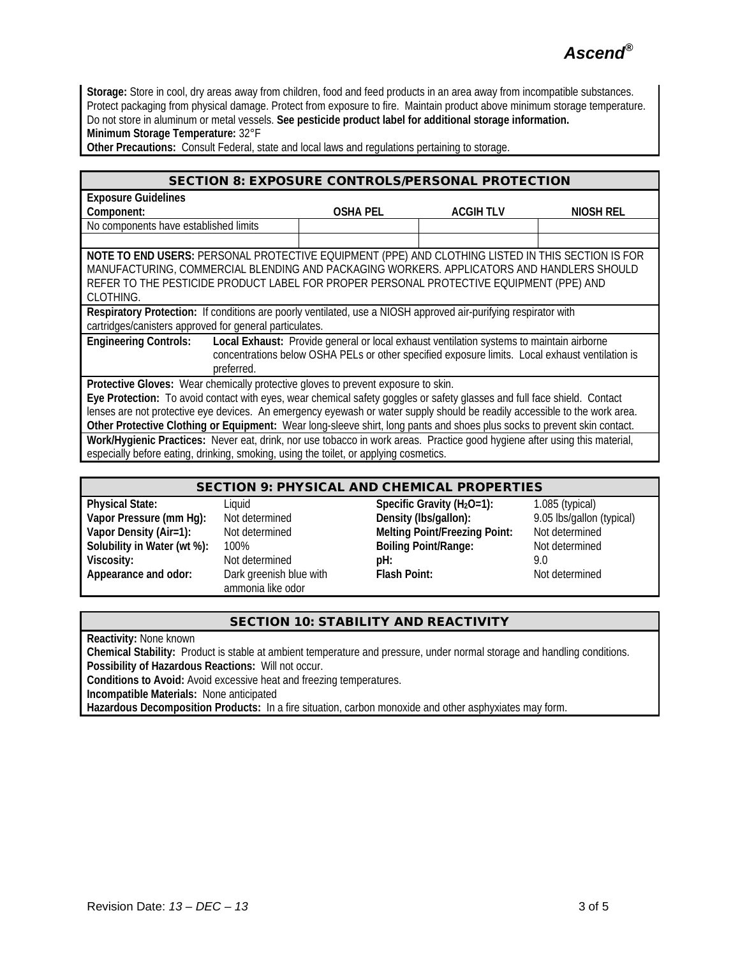*Ascend®*

**Storage:** Store in cool, dry areas away from children, food and feed products in an area away from incompatible substances. Protect packaging from physical damage. Protect from exposure to fire. Maintain product above minimum storage temperature. Do not store in aluminum or metal vessels. **See pesticide product label for additional storage information. Minimum Storage Temperature:** 32°F

**Other Precautions:** Consult Federal, state and local laws and regulations pertaining to storage.

#### SECTION 8: EXPOSURE CONTROLS/PERSONAL PROTECTION

| <b>Exposure Guidelines</b>                                                                                                 |                                                                                                                 |                  |           |  |
|----------------------------------------------------------------------------------------------------------------------------|-----------------------------------------------------------------------------------------------------------------|------------------|-----------|--|
| Component:                                                                                                                 | <b>OSHA PEL</b>                                                                                                 | <b>ACGIH TLV</b> | NIOSH REL |  |
| No components have established limits                                                                                      |                                                                                                                 |                  |           |  |
|                                                                                                                            |                                                                                                                 |                  |           |  |
| NOTE TO END USERS: PERSONAL PROTECTIVE EQUIPMENT (PPE) AND CLOTHING LISTED IN THIS SECTION IS FOR                          |                                                                                                                 |                  |           |  |
| MANUFACTURING, COMMERCIAL BLENDING AND PACKAGING WORKERS. APPLICATORS AND HANDLERS SHOULD                                  |                                                                                                                 |                  |           |  |
| REFER TO THE PESTICIDE PRODUCT LABEL FOR PROPER PERSONAL PROTECTIVE EQUIPMENT (PPE) AND                                    |                                                                                                                 |                  |           |  |
| CLOTHING.                                                                                                                  |                                                                                                                 |                  |           |  |
|                                                                                                                            | Respiratory Protection: If conditions are poorly ventilated, use a NIOSH approved air-purifying respirator with |                  |           |  |
| cartridges/canisters approved for general particulates.                                                                    |                                                                                                                 |                  |           |  |
| <b>Engineering Controls:</b>                                                                                               | Local Exhaust: Provide general or local exhaust ventilation systems to maintain airborne                        |                  |           |  |
|                                                                                                                            | concentrations below OSHA PELs or other specified exposure limits. Local exhaust ventilation is                 |                  |           |  |
| preferred.                                                                                                                 |                                                                                                                 |                  |           |  |
| Protective Gloves: Wear chemically protective gloves to prevent exposure to skin.                                          |                                                                                                                 |                  |           |  |
| Eye Protection: To avoid contact with eyes, wear chemical safety goggles or safety glasses and full face shield. Contact   |                                                                                                                 |                  |           |  |
| lenses are not protective eye devices. An emergency eyewash or water supply should be readily accessible to the work area. |                                                                                                                 |                  |           |  |
| Other Protective Clothing or Equipment: Wear long-sleeve shirt, long pants and shoes plus socks to prevent skin contact.   |                                                                                                                 |                  |           |  |
| Work/Hygienic Practices: Never eat, drink, nor use tobacco in work areas. Practice good hygiene after using this material, |                                                                                                                 |                  |           |  |
| especially before eating, drinking, smoking, using the toilet, or applying cosmetics.                                      |                                                                                                                 |                  |           |  |

#### SECTION 9: PHYSICAL AND CHEMICAL PROPERTIES

**Vapor Pressure (mm Hg):** Not determined<br>**Vapor Density (Air=1):** 9.05 Not determined **Appearance and odor:** Dark greenish blue with

**Volumer determined pH:** 9.00 pH:<br>
9.00 park areenish blue with **Park Point**: ammonia like odor

**Physical State:** Liquid Liquid Specific Gravity (H<sub>2</sub>O=1): 1.085 (typical)<br> **Vapor Pressure (mm Hg):** Not determined Density (Ibs/gallon): 9.05 lbs/gallon (typical) **Melting Point/Freezing Point:** Not determined **Solubility in Water (wt %):** 100% **Boiling Point/Range:** Not determined Viscosity: 100% **Not determined** Viscosity: 100%

**Flash Point:** Not determined

## SECTION 10: STABILITY AND REACTIVITY

**Reactivity:** None known

**Chemical Stability:** Product is stable at ambient temperature and pressure, under normal storage and handling conditions. **Possibility of Hazardous Reactions:** Will not occur.

**Conditions to Avoid:** Avoid excessive heat and freezing temperatures.

**Incompatible Materials:** None anticipated

**Hazardous Decomposition Products:** In a fire situation, carbon monoxide and other asphyxiates may form.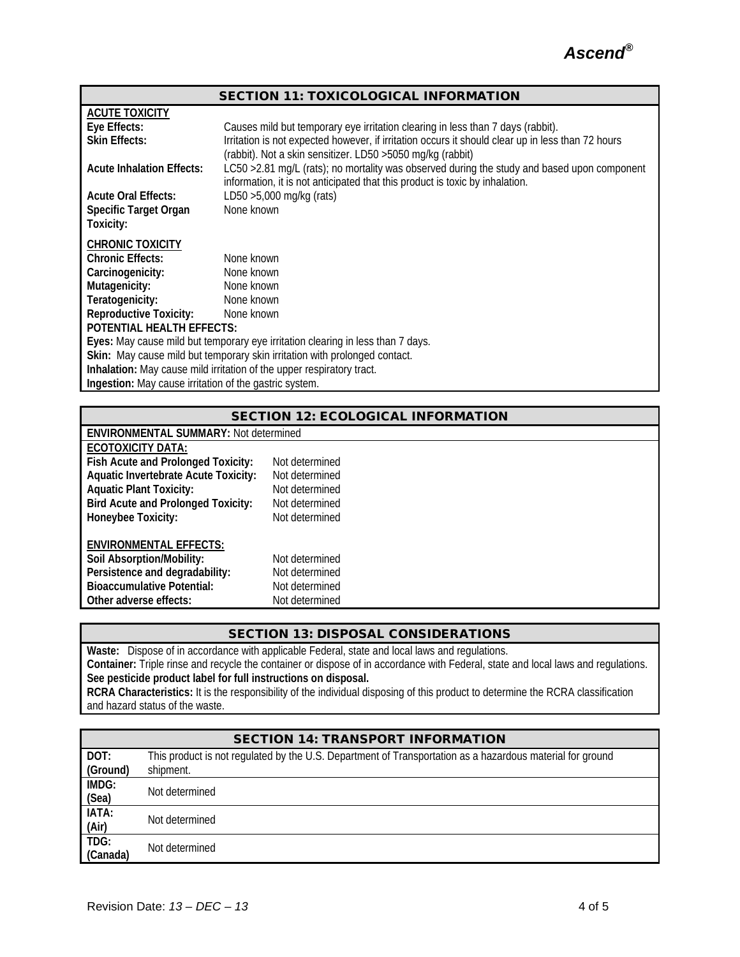

|                                                               | <b>SECTION 11: TOXICOLOGICAL INFORMATION</b>                                                                                                                                 |
|---------------------------------------------------------------|------------------------------------------------------------------------------------------------------------------------------------------------------------------------------|
| <b>ACUTE TOXICITY</b>                                         |                                                                                                                                                                              |
| Eye Effects:                                                  | Causes mild but temporary eye irritation clearing in less than 7 days (rabbit).                                                                                              |
| <b>Skin Effects:</b>                                          | Irritation is not expected however, if irritation occurs it should clear up in less than 72 hours                                                                            |
|                                                               | (rabbit). Not a skin sensitizer. LD50 > 5050 mg/kg (rabbit)                                                                                                                  |
| <b>Acute Inhalation Effects:</b>                              | LC50 > 2.81 mg/L (rats); no mortality was observed during the study and based upon component<br>information, it is not anticipated that this product is toxic by inhalation. |
| <b>Acute Oral Effects:</b>                                    | LD50 > 5,000 mg/kg (rats)                                                                                                                                                    |
| Specific Target Organ                                         | None known                                                                                                                                                                   |
| Toxicity:                                                     |                                                                                                                                                                              |
| <b>CHRONIC TOXICITY</b>                                       |                                                                                                                                                                              |
| <b>Chronic Effects:</b>                                       | None known                                                                                                                                                                   |
| Carcinogenicity:                                              | None known                                                                                                                                                                   |
| Mutagenicity:                                                 | None known                                                                                                                                                                   |
| Teratogenicity:                                               | None known                                                                                                                                                                   |
| <b>Reproductive Toxicity:</b>                                 | None known                                                                                                                                                                   |
| <b>POTENTIAL HEALTH EFFECTS:</b>                              |                                                                                                                                                                              |
|                                                               | Eyes: May cause mild but temporary eye irritation clearing in less than 7 days.                                                                                              |
|                                                               | Skin: May cause mild but temporary skin irritation with prolonged contact.                                                                                                   |
|                                                               | Inhalation: May cause mild irritation of the upper respiratory tract.                                                                                                        |
| <b>Ingestion:</b> May cause irritation of the gastric system. |                                                                                                                                                                              |

| <b>SECTION 12: ECOLOGICAL INFORMATION</b> |  |
|-------------------------------------------|--|
|                                           |  |

| <b>ENVIRONMENTAL SUMMARY: Not determined</b>                                                                                      |                                                    |
|-----------------------------------------------------------------------------------------------------------------------------------|----------------------------------------------------|
| ECOTOXICITY DATA:                                                                                                                 |                                                    |
| Fish Acute and Prolonged Toxicity:                                                                                                | Not determined                                     |
| <b>Aquatic Invertebrate Acute Toxicity:</b>                                                                                       | Not determined                                     |
| <b>Aquatic Plant Toxicity:</b>                                                                                                    | Not determined                                     |
| <b>Bird Acute and Prolonged Toxicity:</b>                                                                                         | Not determined                                     |
| Honeybee Toxicity:                                                                                                                | Not determined                                     |
| <b>ENVIRONMENTAL EFFECTS:</b><br>Soil Absorption/Mobility:<br>Persistence and degradability:<br><b>Bioaccumulative Potential:</b> | Not determined<br>Not determined<br>Not determined |
| Other adverse effects:                                                                                                            | Not determined                                     |
|                                                                                                                                   |                                                    |

# SECTION 13: DISPOSAL CONSIDERATIONS

**Waste:** Dispose of in accordance with applicable Federal, state and local laws and regulations. **Container:** Triple rinse and recycle the container or dispose of in accordance with Federal, state and local laws and regulations. **See pesticide product label for full instructions on disposal. RCRA Characteristics:** It is the responsibility of the individual disposing of this product to determine the RCRA classification and hazard status of the waste.

| <b>SECTION 14: TRANSPORT INFORMATION</b> |                                                                                                           |  |  |
|------------------------------------------|-----------------------------------------------------------------------------------------------------------|--|--|
| DOT:                                     | This product is not regulated by the U.S. Department of Transportation as a hazardous material for ground |  |  |
| (Ground)                                 | shipment.                                                                                                 |  |  |
| IMDG:                                    | Not determined                                                                                            |  |  |
| (Sea)                                    |                                                                                                           |  |  |
| IATA:                                    | Not determined                                                                                            |  |  |
| (Air)                                    |                                                                                                           |  |  |
| TDG:                                     | Not determined                                                                                            |  |  |
| (Canada)                                 |                                                                                                           |  |  |